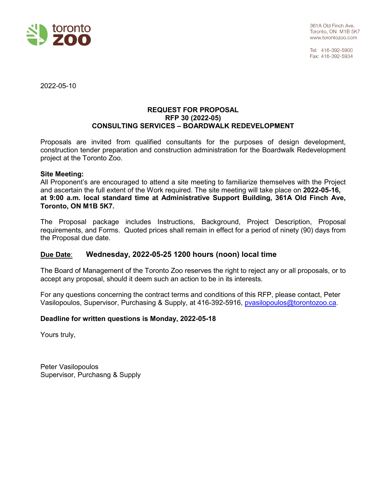

Tel: 416-392-5900 Fax: 416-392-5934

2022-05-10

#### **REQUEST FOR PROPOSAL RFP 30 (2022-05) CONSULTING SERVICES – BOARDWALK REDEVELOPMENT**

Proposals are invited from qualified consultants for the purposes of design development, construction tender preparation and construction administration for the Boardwalk Redevelopment project at the Toronto Zoo.

#### **Site Meeting:**

All Proponent's are encouraged to attend a site meeting to familiarize themselves with the Project and ascertain the full extent of the Work required. The site meeting will take place on **2022-05-16, at 9:00 a.m. local standard time at Administrative Support Building, 361A Old Finch Ave, Toronto, ON M1B 5K7.** 

The Proposal package includes Instructions, Background, Project Description, Proposal requirements, and Forms. Quoted prices shall remain in effect for a period of ninety (90) days from the Proposal due date.

# **Due Date**: **Wednesday, 2022-05-25 1200 hours (noon) local time**

The Board of Management of the Toronto Zoo reserves the right to reject any or all proposals, or to accept any proposal, should it deem such an action to be in its interests.

For any questions concerning the contract terms and conditions of this RFP, please contact, Peter Vasilopoulos, Supervisor, Purchasing & Supply, at 416-392-5916, [pvasilopoulos@torontozoo.ca.](mailto:pvasilopoulos@torontozoo.ca)

#### **Deadline for written questions is Monday, 2022-05-18**

Yours truly,

Peter Vasilopoulos Supervisor, Purchasng & Supply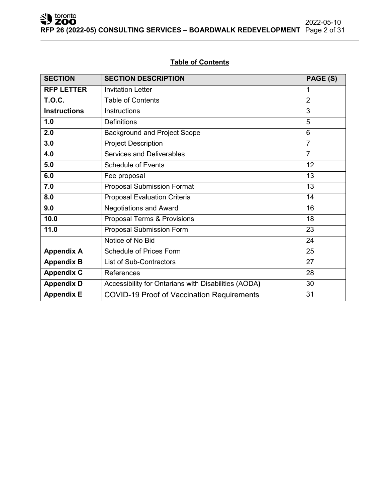# **Table of Contents**

| <b>SECTION</b>      | <b>SECTION DESCRIPTION</b>                           |                |
|---------------------|------------------------------------------------------|----------------|
| <b>RFP LETTER</b>   | <b>Invitation Letter</b>                             | 1              |
| <b>T.O.C.</b>       | <b>Table of Contents</b>                             | $\overline{2}$ |
| <b>Instructions</b> | Instructions                                         | 3              |
| 1.0                 | <b>Definitions</b>                                   | 5              |
| 2.0                 | <b>Background and Project Scope</b>                  | 6              |
| 3.0                 | <b>Project Description</b>                           | $\overline{7}$ |
| 4.0                 | <b>Services and Deliverables</b>                     | $\overline{7}$ |
| 5.0                 | <b>Schedule of Events</b>                            | 12             |
| 6.0                 | Fee proposal                                         | 13             |
| 7.0                 | <b>Proposal Submission Format</b>                    | 13             |
| 8.0                 | <b>Proposal Evaluation Criteria</b>                  | 14             |
| 9.0                 | <b>Negotiations and Award</b>                        | 16             |
| 10.0                | Proposal Terms & Provisions                          | 18             |
| 11.0                | <b>Proposal Submission Form</b>                      | 23             |
|                     | Notice of No Bid                                     | 24             |
| <b>Appendix A</b>   | <b>Schedule of Prices Form</b>                       | 25             |
| <b>Appendix B</b>   | <b>List of Sub-Contractors</b>                       | 27             |
| <b>Appendix C</b>   | References                                           | 28             |
| <b>Appendix D</b>   | Accessibility for Ontarians with Disabilities (AODA) | 30             |
| <b>Appendix E</b>   | <b>COVID-19 Proof of Vaccination Requirements</b>    | 31             |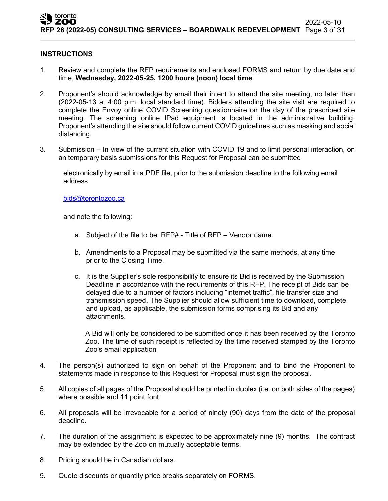#### **INSTRUCTIONS**

- 1. Review and complete the RFP requirements and enclosed FORMS and return by due date and time, **Wednesday, 2022-05-25, 1200 hours (noon) local time**
- 2. Proponent's should acknowledge by email their intent to attend the site meeting, no later than (2022-05-13 at 4:00 p.m. local standard time). Bidders attending the site visit are required to complete the Envoy online COVID Screening questionnaire on the day of the prescribed site meeting. The screening online IPad equipment is located in the administrative building. Proponent's attending the site should follow current COVID guidelines such as masking and social distancing.
- 3. Submission In view of the current situation with COVID 19 and to limit personal interaction, on an temporary basis submissions for this Request for Proposal can be submitted

electronically by email in a PDF file, prior to the submission deadline to the following email address

[bids@torontozoo.ca](mailto:bids@torontozoo.ca)

and note the following:

- a. Subject of the file to be: RFP# Title of RFP Vendor name.
- b. Amendments to a Proposal may be submitted via the same methods, at any time prior to the Closing Time.
- c. It is the Supplier's sole responsibility to ensure its Bid is received by the Submission Deadline in accordance with the requirements of this RFP. The receipt of Bids can be delayed due to a number of factors including "internet traffic", file transfer size and transmission speed. The Supplier should allow sufficient time to download, complete and upload, as applicable, the submission forms comprising its Bid and any attachments.

A Bid will only be considered to be submitted once it has been received by the Toronto Zoo. The time of such receipt is reflected by the time received stamped by the Toronto Zoo's email application

- 4. The person(s) authorized to sign on behalf of the Proponent and to bind the Proponent to statements made in response to this Request for Proposal must sign the proposal.
- 5. All copies of all pages of the Proposal should be printed in duplex (i.e. on both sides of the pages) where possible and 11 point font.
- 6. All proposals will be irrevocable for a period of ninety (90) days from the date of the proposal deadline.
- 7. The duration of the assignment is expected to be approximately nine (9) months. The contract may be extended by the Zoo on mutually acceptable terms.
- 8. Pricing should be in Canadian dollars.
- 9. Quote discounts or quantity price breaks separately on FORMS.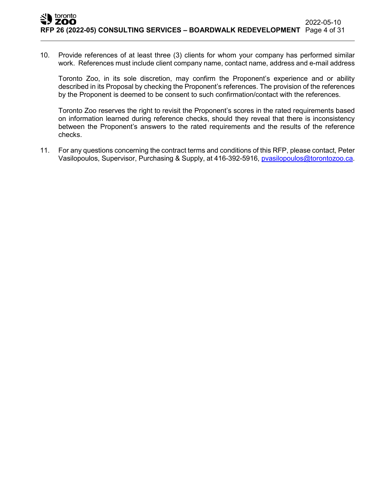10. Provide references of at least three (3) clients for whom your company has performed similar work. References must include client company name, contact name, address and e-mail address

Toronto Zoo, in its sole discretion, may confirm the Proponent's experience and or ability described in its Proposal by checking the Proponent's references. The provision of the references by the Proponent is deemed to be consent to such confirmation/contact with the references.

Toronto Zoo reserves the right to revisit the Proponent's scores in the rated requirements based on information learned during reference checks, should they reveal that there is inconsistency between the Proponent's answers to the rated requirements and the results of the reference checks.

11. For any questions concerning the contract terms and conditions of this RFP, please contact, Peter Vasilopoulos, Supervisor, Purchasing & Supply, at 416-392-5916, [pvasilopoulos@torontozoo.ca.](mailto:pvasilopoulos@torontozoo.ca)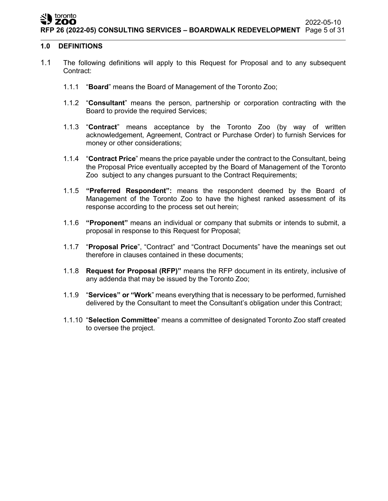#### toronto ZOO

## **1.0 DEFINITIONS**

- 1.1 The following definitions will apply to this Request for Proposal and to any subsequent Contract:
	- 1.1.1 "**Board**" means the Board of Management of the Toronto Zoo;
	- 1.1.2 "**Consultant**" means the person, partnership or corporation contracting with the Board to provide the required Services;
	- 1.1.3 "**Contract**" means acceptance by the Toronto Zoo (by way of written acknowledgement, Agreement, Contract or Purchase Order) to furnish Services for money or other considerations;
	- 1.1.4 "**Contract Price**" means the price payable under the contract to the Consultant, being the Proposal Price eventually accepted by the Board of Management of the Toronto Zoo subject to any changes pursuant to the Contract Requirements;
	- 1.1.5 **"Preferred Respondent":** means the respondent deemed by the Board of Management of the Toronto Zoo to have the highest ranked assessment of its response according to the process set out herein;
	- 1.1.6 **"Proponent"** means an individual or company that submits or intends to submit, a proposal in response to this Request for Proposal;
	- 1.1.7 "**Proposal Price**", "Contract" and "Contract Documents" have the meanings set out therefore in clauses contained in these documents;
	- 1.1.8 **Request for Proposal (RFP)"** means the RFP document in its entirety, inclusive of any addenda that may be issued by the Toronto Zoo;
	- 1.1.9 "**Services" or "Work**" means everything that is necessary to be performed, furnished delivered by the Consultant to meet the Consultant's obligation under this Contract;
	- 1.1.10 "**Selection Committee**" means a committee of designated Toronto Zoo staff created to oversee the project.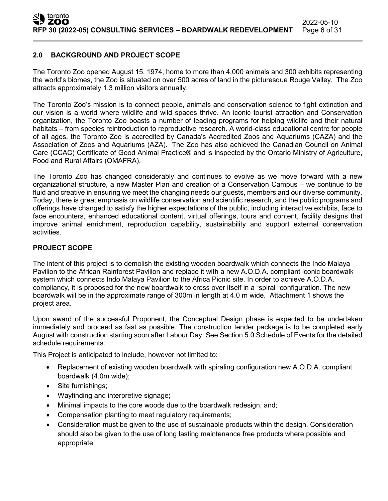# **2.0 BACKGROUND AND PROJECT SCOPE**

The Toronto Zoo opened August 15, 1974, home to more than 4,000 animals and 300 exhibits representing the world's biomes, the Zoo is situated on over 500 acres of land in the picturesque Rouge Valley. The Zoo attracts approximately 1.3 million visitors annually.

The Toronto Zoo's mission is to connect people, animals and conservation science to fight extinction and our vision is a world where wildlife and wild spaces thrive. An iconic tourist attraction and Conservation organization, the Toronto Zoo boasts a number of leading programs for helping wildlife and their natural habitats – from species reintroduction to reproductive research. A world-class educational centre for people of all ages, the Toronto Zoo is accredited by Canada's Accredited Zoos and Aquariums (CAZA) and the Association of Zoos and Aquariums (AZA). The Zoo has also achieved the Canadian Council on Animal Care (CCAC) Certificate of Good Animal Practice® and is inspected by the Ontario Ministry of Agriculture, Food and Rural Affairs (OMAFRA).

The Toronto Zoo has changed considerably and continues to evolve as we move forward with a new organizational structure, a new Master Plan and creation of a Conservation Campus – we continue to be fluid and creative in ensuring we meet the changing needs our guests, members and our diverse community. Today, there is great emphasis on wildlife conservation and scientific research, and the public programs and offerings have changed to satisfy the higher expectations of the public, including interactive exhibits, face to face encounters, enhanced educational content, virtual offerings, tours and content, facility designs that improve animal enrichment, reproduction capability, sustainability and support external conservation activities.

## **PROJECT SCOPE**

The intent of this project is to demolish the existing wooden boardwalk which connects the Indo Malaya Pavilion to the African Rainforest Pavilion and replace it with a new A.O.D.A. compliant iconic boardwalk system which connects Indo Malaya Pavilion to the Africa Picnic site. In order to achieve A.O.D.A. compliancy, it is proposed for the new boardwalk to cross over itself in a "spiral "configuration. The new boardwalk will be in the approximate range of 300m in length at 4.0 m wide. Attachment 1 shows the project area.

Upon award of the successful Proponent, the Conceptual Design phase is expected to be undertaken immediately and proceed as fast as possible. The construction tender package is to be completed early August with construction starting soon after Labour Day. See Section 5.0 Schedule of Events for the detailed schedule requirements.

This Project is anticipated to include, however not limited to:

- Replacement of existing wooden boardwalk with spiraling configuration new A.O.D.A. compliant boardwalk (4.0m wide);
- Site furnishings;
- Wayfinding and interpretive signage;
- Minimal impacts to the core woods due to the boardwalk redesign, and;
- Compensation planting to meet regulatory requirements;
- Consideration must be given to the use of sustainable products within the design. Consideration should also be given to the use of long lasting maintenance free products where possible and appropriate.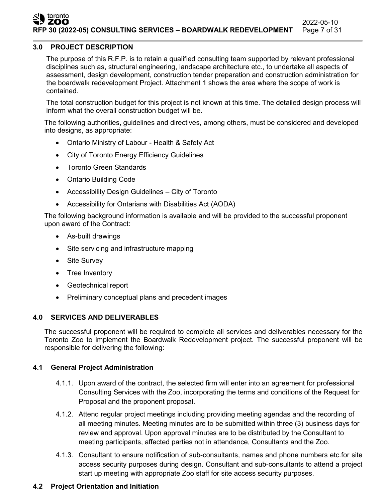#### toronto<br>**ZOO** 2022-05-10 **RFP 30 (2022-05) CONSULTING SERVICES – BOARDWALK REDEVELOPMENT** Page 7 of 31

#### **3.0 PROJECT DESCRIPTION**

The purpose of this R.F.P. is to retain a qualified consulting team supported by relevant professional disciplines such as, structural engineering, landscape architecture etc., to undertake all aspects of assessment, design development, construction tender preparation and construction administration for the boardwalk redevelopment Project. Attachment 1 shows the area where the scope of work is contained.

The total construction budget for this project is not known at this time. The detailed design process will inform what the overall construction budget will be.

The following authorities, guidelines and directives, among others, must be considered and developed into designs, as appropriate:

- Ontario Ministry of Labour Health & Safety Act
- City of Toronto Energy Efficiency Guidelines
- Toronto Green Standards
- Ontario Building Code
- Accessibility Design Guidelines City of Toronto
- Accessibility for Ontarians with Disabilities Act (AODA)

The following background information is available and will be provided to the successful proponent upon award of the Contract:

- As-built drawings
- Site servicing and infrastructure mapping
- Site Survey
- Tree Inventory
- Geotechnical report
- Preliminary conceptual plans and precedent images

#### **4.0 SERVICES AND DELIVERABLES**

The successful proponent will be required to complete all services and deliverables necessary for the Toronto Zoo to implement the Boardwalk Redevelopment project. The successful proponent will be responsible for delivering the following:

#### **4.1 General Project Administration**

- 4.1.1. Upon award of the contract, the selected firm will enter into an agreement for professional Consulting Services with the Zoo, incorporating the terms and conditions of the Request for Proposal and the proponent proposal.
- 4.1.2. Attend regular project meetings including providing meeting agendas and the recording of all meeting minutes. Meeting minutes are to be submitted within three (3) business days for review and approval. Upon approval minutes are to be distributed by the Consultant to meeting participants, affected parties not in attendance, Consultants and the Zoo.
- 4.1.3. Consultant to ensure notification of sub-consultants, names and phone numbers etc.for site access security purposes during design. Consultant and sub-consultants to attend a project start up meeting with appropriate Zoo staff for site access security purposes.

# **4.2 Project Orientation and Initiation**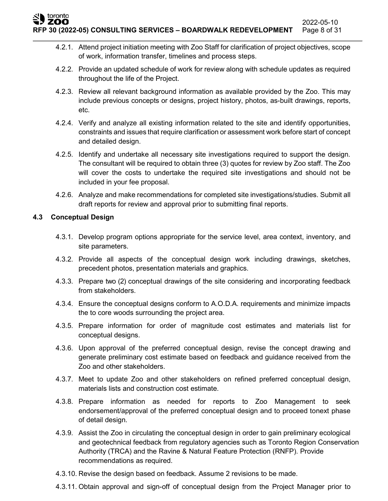toronto

- 4.2.1. Attend project initiation meeting with Zoo Staff for clarification of project objectives, scope of work, information transfer, timelines and process steps.
- 4.2.2. Provide an updated schedule of work for review along with schedule updates as required throughout the life of the Project.
- 4.2.3. Review all relevant background information as available provided by the Zoo. This may include previous concepts or designs, project history, photos, as-built drawings, reports, etc.
- 4.2.4. Verify and analyze all existing information related to the site and identify opportunities, constraints and issues that require clarification or assessment work before start of concept and detailed design.
- 4.2.5. Identify and undertake all necessary site investigations required to support the design. The consultant will be required to obtain three (3) quotes for review by Zoo staff. The Zoo will cover the costs to undertake the required site investigations and should not be included in your fee proposal.
- 4.2.6. Analyze and make recommendations for completed site investigations/studies. Submit all draft reports for review and approval prior to submitting final reports.

# **4.3 Conceptual Design**

- 4.3.1. Develop program options appropriate for the service level, area context, inventory, and site parameters.
- 4.3.2. Provide all aspects of the conceptual design work including drawings, sketches, precedent photos, presentation materials and graphics.
- 4.3.3. Prepare two (2) conceptual drawings of the site considering and incorporating feedback from stakeholders.
- 4.3.4. Ensure the conceptual designs conform to A.O.D.A. requirements and minimize impacts the to core woods surrounding the project area.
- 4.3.5. Prepare information for order of magnitude cost estimates and materials list for conceptual designs.
- 4.3.6. Upon approval of the preferred conceptual design, revise the concept drawing and generate preliminary cost estimate based on feedback and guidance received from the Zoo and other stakeholders.
- 4.3.7. Meet to update Zoo and other stakeholders on refined preferred conceptual design, materials lists and construction cost estimate.
- 4.3.8. Prepare information as needed for reports to Zoo Management to seek endorsement/approval of the preferred conceptual design and to proceed tonext phase of detail design.
- 4.3.9. Assist the Zoo in circulating the conceptual design in order to gain preliminary ecological and geotechnical feedback from regulatory agencies such as Toronto Region Conservation Authority (TRCA) and the Ravine & Natural Feature Protection (RNFP). Provide recommendations as required.
- 4.3.10. Revise the design based on feedback. Assume 2 revisions to be made.
- 4.3.11. Obtain approval and sign-off of conceptual design from the Project Manager prior to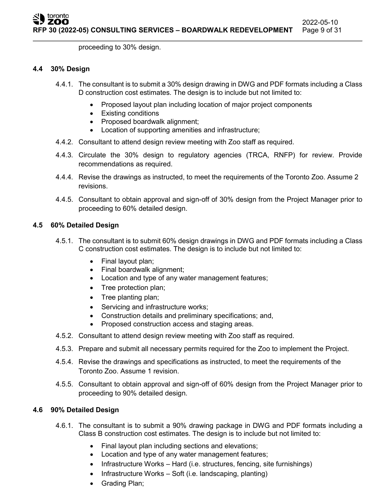proceeding to 30% design.

#### **4.4 30% Design**

- 4.4.1. The consultant is to submit a 30% design drawing in DWG and PDF formats including a Class D construction cost estimates. The design is to include but not limited to:
	- Proposed layout plan including location of major project components
	- Existing conditions
	- Proposed boardwalk alignment;
	- Location of supporting amenities and infrastructure;
- 4.4.2. Consultant to attend design review meeting with Zoo staff as required.
- 4.4.3. Circulate the 30% design to regulatory agencies (TRCA, RNFP) for review. Provide recommendations as required.
- 4.4.4. Revise the drawings as instructed, to meet the requirements of the Toronto Zoo. Assume 2 revisions.
- 4.4.5. Consultant to obtain approval and sign-off of 30% design from the Project Manager prior to proceeding to 60% detailed design.

# **4.5 60% Detailed Design**

- 4.5.1. The consultant is to submit 60% design drawings in DWG and PDF formats including a Class C construction cost estimates. The design is to include but not limited to:
	- Final layout plan;
	- Final boardwalk alignment;
	- Location and type of any water management features;
	- Tree protection plan;
	- Tree planting plan;
	- Servicing and infrastructure works;
	- Construction details and preliminary specifications; and,
	- Proposed construction access and staging areas.
- 4.5.2. Consultant to attend design review meeting with Zoo staff as required.
- 4.5.3. Prepare and submit all necessary permits required for the Zoo to implement the Project.
- 4.5.4. Revise the drawings and specifications as instructed, to meet the requirements of the Toronto Zoo. Assume 1 revision.
- 4.5.5. Consultant to obtain approval and sign-off of 60% design from the Project Manager prior to proceeding to 90% detailed design.

# **4.6 90% Detailed Design**

- 4.6.1. The consultant is to submit a 90% drawing package in DWG and PDF formats including a Class B construction cost estimates. The design is to include but not limited to:
	- Final layout plan including sections and elevations;
	- Location and type of any water management features;
	- Infrastructure Works Hard (i.e. structures, fencing, site furnishings)
	- Infrastructure Works Soft (i.e. landscaping, planting)
	- Grading Plan;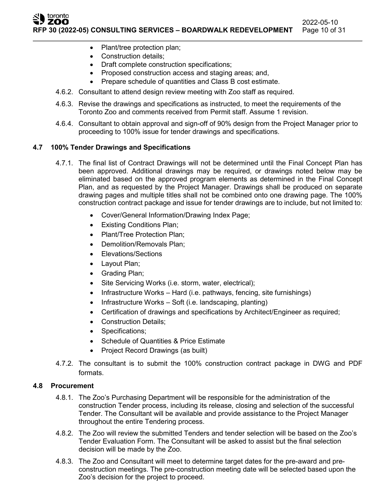ZOO 2022-05-10 **RFP 30 (2022-05) CONSULTING SERVICES – BOARDWALK REDEVELOPMENT** Page 10 of 31

- Plant/tree protection plan;
- Construction details;

toronto

- Draft complete construction specifications;
- Proposed construction access and staging areas; and,
- Prepare schedule of quantities and Class B cost estimate.
- 4.6.2. Consultant to attend design review meeting with Zoo staff as required.
- 4.6.3. Revise the drawings and specifications as instructed, to meet the requirements of the Toronto Zoo and comments received from Permit staff. Assume 1 revision.
- 4.6.4. Consultant to obtain approval and sign-off of 90% design from the Project Manager prior to proceeding to 100% issue for tender drawings and specifications.

## **4.7 100% Tender Drawings and Specifications**

- 4.7.1. The final list of Contract Drawings will not be determined until the Final Concept Plan has been approved. Additional drawings may be required, or drawings noted below may be eliminated based on the approved program elements as determined in the Final Concept Plan, and as requested by the Project Manager. Drawings shall be produced on separate drawing pages and multiple titles shall not be combined onto one drawing page. The 100% construction contract package and issue for tender drawings are to include, but not limited to:
	- Cover/General Information/Drawing Index Page;
	- Existing Conditions Plan;
	- Plant/Tree Protection Plan;
	- Demolition/Removals Plan;
	- Elevations/Sections
	- Layout Plan;
	- Grading Plan;
	- Site Servicing Works (i.e. storm, water, electrical);
	- Infrastructure Works Hard (i.e. pathways, fencing, site furnishings)
	- Infrastructure Works Soft (i.e. landscaping, planting)
	- Certification of drawings and specifications by Architect/Engineer as required;
	- Construction Details;
	- Specifications;
	- Schedule of Quantities & Price Estimate
	- Project Record Drawings (as built)
- 4.7.2. The consultant is to submit the 100% construction contract package in DWG and PDF formats.

## **4.8 Procurement**

- 4.8.1. The Zoo's Purchasing Department will be responsible for the administration of the construction Tender process, including its release, closing and selection of the successful Tender. The Consultant will be available and provide assistance to the Project Manager throughout the entire Tendering process.
- 4.8.2. The Zoo will review the submitted Tenders and tender selection will be based on the Zoo's Tender Evaluation Form. The Consultant will be asked to assist but the final selection decision will be made by the Zoo.
- 4.8.3. The Zoo and Consultant will meet to determine target dates for the pre-award and preconstruction meetings. The pre-construction meeting date will be selected based upon the Zoo's decision for the project to proceed.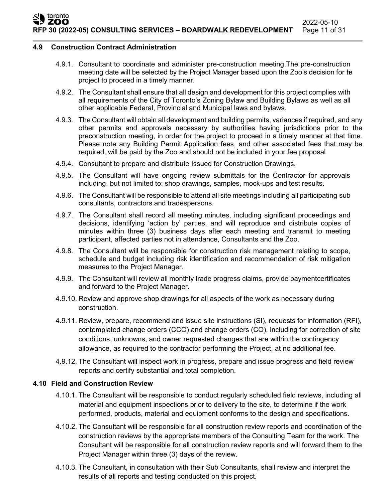#### **4.9 Construction Contract Administration**

- 4.9.1. Consultant to coordinate and administer pre-construction meeting.The pre-construction meeting date will be selected by the Project Manager based upon the Zoo's decision for te project to proceed in a timely manner.
- 4.9.2. The Consultant shall ensure that all design and development for this project complies with all requirements of the City of Toronto's Zoning Bylaw and Building Bylaws as well as all other applicable Federal, Provincial and Municipal laws and bylaws.
- 4.9.3. The Consultant will obtain all development and building permits, variances if required, and any other permits and approvals necessary by authorities having jurisdictions prior to the preconstruction meeting, in order for the project to proceed in a timely manner at that time. Please note any Building Permit Application fees, and other associated fees that may be required, will be paid by the Zoo and should not be included in your fee proposal
- 4.9.4. Consultant to prepare and distribute Issued for Construction Drawings.
- 4.9.5. The Consultant will have ongoing review submittals for the Contractor for approvals including, but not limited to: shop drawings, samples, mock-ups and test results.
- 4.9.6. The Consultant will be responsible to attend all site meetings including all participating sub consultants, contractors and tradespersons.
- 4.9.7. The Consultant shall record all meeting minutes, including significant proceedings and decisions, identifying 'action by' parties, and will reproduce and distribute copies of minutes within three (3) business days after each meeting and transmit to meeting participant, affected parties not in attendance, Consultants and the Zoo.
- 4.9.8. The Consultant will be responsible for construction risk management relating to scope, schedule and budget including risk identification and recommendation of risk mitigation measures to the Project Manager.
- 4.9.9. The Consultant will review all monthly trade progress claims, provide paymentcertificates and forward to the Project Manager.
- 4.9.10. Review and approve shop drawings for all aspects of the work as necessary during construction.
- 4.9.11. Review, prepare, recommend and issue site instructions (SI), requests for information (RFI), contemplated change orders (CCO) and change orders (CO), including for correction of site conditions, unknowns, and owner requested changes that are within the contingency allowance, as required to the contractor performing the Project, at no additional fee.
- 4.9.12. The Consultant will inspect work in progress, prepare and issue progress and field review reports and certify substantial and total completion.

# **4.10 Field and Construction Review**

- 4.10.1. The Consultant will be responsible to conduct regularly scheduled field reviews, including all material and equipment inspections prior to delivery to the site, to determine if the work performed, products, material and equipment conforms to the design and specifications.
- 4.10.2. The Consultant will be responsible for all construction review reports and coordination of the construction reviews by the appropriate members of the Consulting Team for the work. The Consultant will be responsible for all construction review reports and will forward them to the Project Manager within three (3) days of the review.
- 4.10.3. The Consultant, in consultation with their Sub Consultants, shall review and interpret the results of all reports and testing conducted on this project.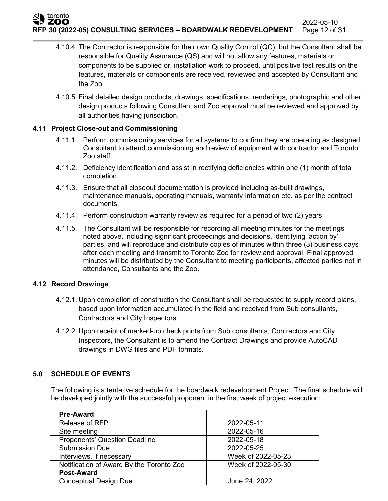**RFP 30 (2022-05) CONSULTING SERVICES – BOARDWALK REDEVELOPMENT** Page 12 of 31

- 4.10.4. The Contractor is responsible for their own Quality Control (QC), but the Consultant shall be responsible for Quality Assurance (QS) and will not allow any features, materials or components to be supplied or, installation work to proceed, until positive test results on the features, materials or components are received, reviewed and accepted by Consultant and the Zoo.
- 4.10.5. Final detailed design products, drawings, specifications, renderings, photographic and other design products following Consultant and Zoo approval must be reviewed and approved by all authorities having jurisdiction.

# **4.11 Project Close-out and Commissioning**

- 4.11.1. Perform commissioning services for all systems to confirm they are operating as designed. Consultant to attend commissioning and review of equipment with contractor and Toronto Zoo staff.
- 4.11.2. Deficiency identification and assist in rectifying deficiencies within one (1) month of total completion.
- 4.11.3. Ensure that all closeout documentation is provided including as-built drawings, maintenance manuals, operating manuals, warranty information etc. as per the contract documents.
- 4.11.4. Perform construction warranty review as required for a period of two (2) years.
- 4.11.5. The Consultant will be responsible for recording all meeting minutes for the meetings noted above, including significant proceedings and decisions, identifying 'action by' parties, and will reproduce and distribute copies of minutes within three (3) business days after each meeting and transmit to Toronto Zoo for review and approval. Final approved minutes will be distributed by the Consultant to meeting participants, affected parties not in attendance, Consultants and the Zoo.

# **4.12 Record Drawings**

toronto

- 4.12.1. Upon completion of construction the Consultant shall be requested to supply record plans, based upon information accumulated in the field and received from Sub consultants, Contractors and City Inspectors.
- 4.12.2. Upon receipt of marked-up check prints from Sub consultants, Contractors and City Inspectors, the Consultant is to amend the Contract Drawings and provide AutoCAD drawings in DWG files and PDF formats.

# **5.0 SCHEDULE OF EVENTS**

The following is a tentative schedule for the boardwalk redevelopment Project. The final schedule will be developed jointly with the successful proponent in the first week of project execution:

| <b>Pre-Award</b>                         |                    |
|------------------------------------------|--------------------|
| Release of RFP                           | 2022-05-11         |
| Site meeting                             | 2022-05-16         |
| <b>Proponents' Question Deadline</b>     | 2022-05-18         |
| <b>Submission Due</b>                    | 2022-05-25         |
| Interviews, if necessary                 | Week of 2022-05-23 |
| Notification of Award By the Toronto Zoo | Week of 2022-05-30 |
| <b>Post-Award</b>                        |                    |
| <b>Conceptual Design Due</b>             | June 24, 2022      |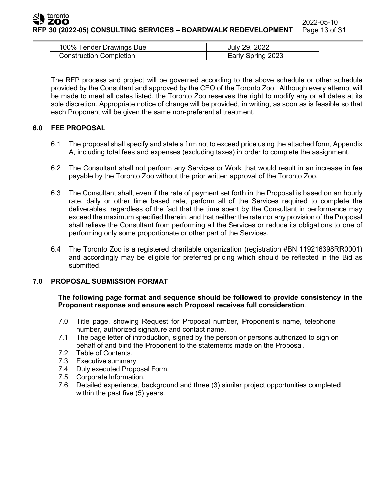| 100% Tender Drawings Due       | July 29, 2022     |
|--------------------------------|-------------------|
| <b>Construction Completion</b> | Early Spring 2023 |

The RFP process and project will be governed according to the above schedule or other schedule provided by the Consultant and approved by the CEO of the Toronto Zoo. Although every attempt will be made to meet all dates listed, the Toronto Zoo reserves the right to modify any or all dates at its sole discretion. Appropriate notice of change will be provided, in writing, as soon as is feasible so that each Proponent will be given the same non-preferential treatment.

# **6.0 FEE PROPOSAL**

- 6.1 The proposal shall specify and state a firm not to exceed price using the attached form, Appendix A, including total fees and expenses (excluding taxes) in order to complete the assignment.
- 6.2 The Consultant shall not perform any Services or Work that would result in an increase in fee payable by the Toronto Zoo without the prior written approval of the Toronto Zoo.
- 6.3 The Consultant shall, even if the rate of payment set forth in the Proposal is based on an hourly rate, daily or other time based rate, perform all of the Services required to complete the deliverables, regardless of the fact that the time spent by the Consultant in performance may exceed the maximum specified therein, and that neither the rate nor any provision of the Proposal shall relieve the Consultant from performing all the Services or reduce its obligations to one of performing only some proportionate or other part of the Services.
- 6.4 The Toronto Zoo is a registered charitable organization (registration #BN 119216398RR0001) and accordingly may be eligible for preferred pricing which should be reflected in the Bid as submitted.

# **7.0 PROPOSAL SUBMISSION FORMAT**

## **The following page format and sequence should be followed to provide consistency in the Proponent response and ensure each Proposal receives full consideration**.

- 7.0 Title page, showing Request for Proposal number, Proponent's name, telephone number, authorized signature and contact name.
- 7.1 The page letter of introduction, signed by the person or persons authorized to sign on behalf of and bind the Proponent to the statements made on the Proposal.
- 7.2 Table of Contents.
- 7.3 Executive summary.
- 7.4 Duly executed Proposal Form.
- 7.5 Corporate Information.
- 7.6 Detailed experience, background and three (3) similar project opportunities completed within the past five (5) years.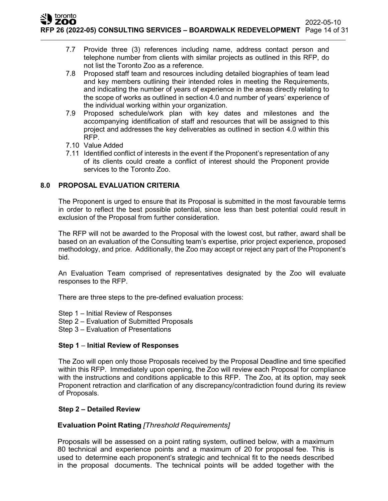- 7.7 Provide three (3) references including name, address contact person and telephone number from clients with similar projects as outlined in this RFP, do not list the Toronto Zoo as a reference.
- 7.8 Proposed staff team and resources including detailed biographies of team lead and key members outlining their intended roles in meeting the Requirements, and indicating the number of years of experience in the areas directly relating to the scope of works as outlined in section 4.0 and number of years' experience of the individual working within your organization.
- 7.9 Proposed schedule/work plan with key dates and milestones and the accompanying identification of staff and resources that will be assigned to this project and addresses the key deliverables as outlined in section 4.0 within this RFP.
- 7.10 Value Added
- 7.11 Identified conflict of interests in the event if the Proponent's representation of any of its clients could create a conflict of interest should the Proponent provide services to the Toronto Zoo.

# **8.0 PROPOSAL EVALUATION CRITERIA**

The Proponent is urged to ensure that its Proposal is submitted in the most favourable terms in order to reflect the best possible potential, since less than best potential could result in exclusion of the Proposal from further consideration.

The RFP will not be awarded to the Proposal with the lowest cost, but rather, award shall be based on an evaluation of the Consulting team's expertise, prior project experience, proposed methodology, and price. Additionally, the Zoo may accept or reject any part of the Proponent's bid.

An Evaluation Team comprised of representatives designated by the Zoo will evaluate responses to the RFP.

There are three steps to the pre-defined evaluation process:

- Step 1 Initial Review of Responses
- Step 2 Evaluation of Submitted Proposals
- Step 3 Evaluation of Presentations

# **Step 1** – **Initial Review of Responses**

The Zoo will open only those Proposals received by the Proposal Deadline and time specified within this RFP. Immediately upon opening, the Zoo will review each Proposal for compliance with the instructions and conditions applicable to this RFP. The Zoo, at its option, may seek Proponent retraction and clarification of any discrepancy/contradiction found during its review of Proposals.

# **Step 2 – Detailed Review**

# **Evaluation Point Rating** *[Threshold Requirements]*

Proposals will be assessed on a point rating system, outlined below, with a maximum 80 technical and experience points and a maximum of 20 for proposal fee. This is used to determine each proponent's strategic and technical fit to the needs described in the proposal documents. The technical points will be added together with the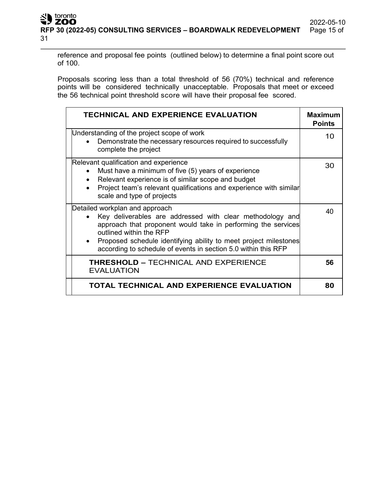reference and proposal fee points (outlined below) to determine a final point score out of 100.

Proposals scoring less than a total threshold of 56 (70%) technical and reference points will be considered technically unacceptable. Proposals that meet or exceed the 56 technical point threshold score will have their proposal fee scored.

| <b>TECHNICAL AND EXPERIENCE EVALUATION</b>                                                                                                                                                                                                                                                                                    | <b>Maximum</b><br><b>Points</b> |
|-------------------------------------------------------------------------------------------------------------------------------------------------------------------------------------------------------------------------------------------------------------------------------------------------------------------------------|---------------------------------|
| Understanding of the project scope of work<br>Demonstrate the necessary resources required to successfully<br>complete the project                                                                                                                                                                                            | 10                              |
| Relevant qualification and experience<br>Must have a minimum of five (5) years of experience<br>Relevant experience is of similar scope and budget<br>Project team's relevant qualifications and experience with similar<br>scale and type of projects                                                                        | 30                              |
| Detailed workplan and approach<br>Key deliverables are addressed with clear methodology and<br>approach that proponent would take in performing the services<br>outlined within the RFP<br>Proposed schedule identifying ability to meet project milestones<br>according to schedule of events in section 5.0 within this RFP | 40                              |
| <b>THRESHOLD - TECHNICAL AND EXPERIENCE</b><br><b>EVALUATION</b>                                                                                                                                                                                                                                                              | 56                              |
| TOTAL TECHNICAL AND EXPERIENCE EVALUATION                                                                                                                                                                                                                                                                                     | 80                              |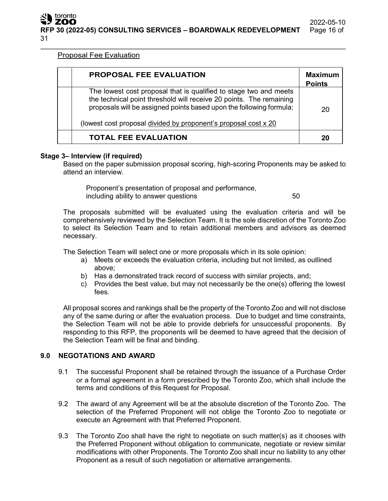Proposal Fee Evaluation

| <b>PROPOSAL FEE EVALUATION</b>                                                                                                                                                                                                                                                     | <b>Maximum</b><br><b>Points</b> |
|------------------------------------------------------------------------------------------------------------------------------------------------------------------------------------------------------------------------------------------------------------------------------------|---------------------------------|
| The lowest cost proposal that is qualified to stage two and meets<br>the technical point threshold will receive 20 points. The remaining<br>proposals will be assigned points based upon the following formula:<br>(lowest cost proposal divided by proponent's proposal cost x 20 | 20                              |
| <b>TOTAL FEE EVALUATION</b>                                                                                                                                                                                                                                                        | 20                              |

# **Stage 3– Interview (if required)**

Based on the paper submission proposal scoring, high-scoring Proponents may be asked to attend an interview.

Proponent's presentation of proposal and performance, including ability to answer questions **50** 

The proposals submitted will be evaluated using the evaluation criteria and will be comprehensively reviewed by the Selection Team. It is the sole discretion of the Toronto Zoo to select its Selection Team and to retain additional members and advisors as deemed necessary.

The Selection Team will select one or more proposals which in its sole opinion:

- a) Meets or exceeds the evaluation criteria, including but not limited, as outlined above;
- b) Has a demonstrated track record of success with similar projects, and;
- c) Provides the best value, but may not necessarily be the one(s) offering the lowest fees.

All proposal scores and rankings shall be the property of the Toronto Zoo and will not disclose any of the same during or after the evaluation process. Due to budget and time constraints, the Selection Team will not be able to provide debriefs for unsuccessful proponents. By responding to this RFP, the proponents will be deemed to have agreed that the decision of the Selection Team will be final and binding.

# **9.0 NEGOTATIONS AND AWARD**

- 9.1 The successful Proponent shall be retained through the issuance of a Purchase Order or a formal agreement in a form prescribed by the Toronto Zoo, which shall include the terms and conditions of this Request for Proposal.
- 9.2 The award of any Agreement will be at the absolute discretion of the Toronto Zoo. The selection of the Preferred Proponent will not oblige the Toronto Zoo to negotiate or execute an Agreement with that Preferred Proponent.
- 9.3 The Toronto Zoo shall have the right to negotiate on such matter(s) as it chooses with the Preferred Proponent without obligation to communicate, negotiate or review similar modifications with other Proponents. The Toronto Zoo shall incur no liability to any other Proponent as a result of such negotiation or alternative arrangements.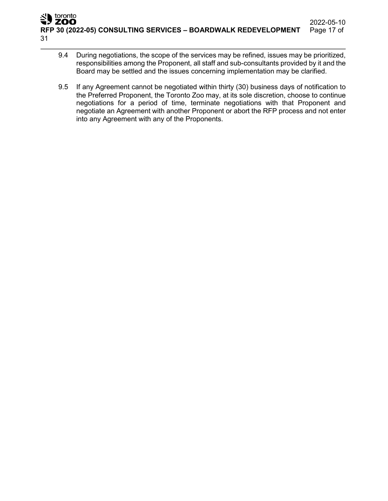- 9.4 During negotiations, the scope of the services may be refined, issues may be prioritized, responsibilities among the Proponent, all staff and sub-consultants provided by it and the Board may be settled and the issues concerning implementation may be clarified.
- 9.5 If any Agreement cannot be negotiated within thirty (30) business days of notification to the Preferred Proponent, the Toronto Zoo may, at its sole discretion, choose to continue negotiations for a period of time, terminate negotiations with that Proponent and negotiate an Agreement with another Proponent or abort the RFP process and not enter into any Agreement with any of the Proponents.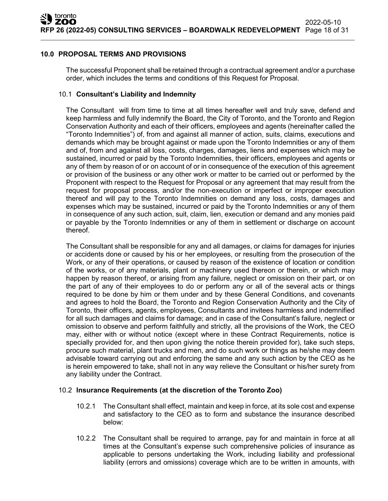## **10.0 PROPOSAL TERMS AND PROVISIONS**

The successful Proponent shall be retained through a contractual agreement and/or a purchase order, which includes the terms and conditions of this Request for Proposal.

#### 10.1 **Consultant's Liability and Indemnity**

The Consultant will from time to time at all times hereafter well and truly save, defend and keep harmless and fully indemnify the Board, the City of Toronto, and the Toronto and Region Conservation Authority and each of their officers, employees and agents (hereinafter called the "Toronto Indemnities") of, from and against all manner of action, suits, claims, executions and demands which may be brought against or made upon the Toronto Indemnities or any of them and of, from and against all loss, costs, charges, damages, liens and expenses which may be sustained, incurred or paid by the Toronto Indemnities, their officers, employees and agents or any of them by reason of or on account of or in consequence of the execution of this agreement or provision of the business or any other work or matter to be carried out or performed by the Proponent with respect to the Request for Proposal or any agreement that may result from the request for proposal process, and/or the non-execution or imperfect or improper execution thereof and will pay to the Toronto Indemnities on demand any loss, costs, damages and expenses which may be sustained, incurred or paid by the Toronto Indemnities or any of them in consequence of any such action, suit, claim, lien, execution or demand and any monies paid or payable by the Toronto Indemnities or any of them in settlement or discharge on account thereof.

The Consultant shall be responsible for any and all damages, or claims for damages for injuries or accidents done or caused by his or her employees, or resulting from the prosecution of the Work, or any of their operations, or caused by reason of the existence of location or condition of the works, or of any materials, plant or machinery used thereon or therein, or which may happen by reason thereof, or arising from any failure, neglect or omission on their part, or on the part of any of their employees to do or perform any or all of the several acts or things required to be done by him or them under and by these General Conditions, and covenants and agrees to hold the Board, the Toronto and Region Conservation Authority and the City of Toronto, their officers, agents, employees, Consultants and invitees harmless and indemnified for all such damages and claims for damage; and in case of the Consultant's failure, neglect or omission to observe and perform faithfully and strictly, all the provisions of the Work, the CEO may, either with or without notice (except where in these Contract Requirements, notice is specially provided for, and then upon giving the notice therein provided for), take such steps, procure such material, plant trucks and men, and do such work or things as he/she may deem advisable toward carrying out and enforcing the same and any such action by the CEO as he is herein empowered to take, shall not in any way relieve the Consultant or his/her surety from any liability under the Contract.

#### 10.2 **Insurance Requirements (at the discretion of the Toronto Zoo)**

- 10.2.1 The Consultant shall effect, maintain and keep in force, at its sole cost and expense and satisfactory to the CEO as to form and substance the insurance described below:
- 10.2.2 The Consultant shall be required to arrange, pay for and maintain in force at all times at the Consultant's expense such comprehensive policies of insurance as applicable to persons undertaking the Work, including liability and professional liability (errors and omissions) coverage which are to be written in amounts, with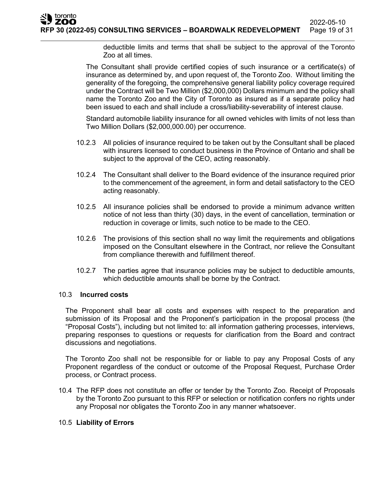deductible limits and terms that shall be subject to the approval of the Toronto Zoo at all times.

The Consultant shall provide certified copies of such insurance or a certificate(s) of insurance as determined by, and upon request of, the Toronto Zoo. Without limiting the generality of the foregoing, the comprehensive general liability policy coverage required under the Contract will be Two Million (\$2,000,000) Dollars minimum and the policy shall name the Toronto Zoo and the City of Toronto as insured as if a separate policy had been issued to each and shall include a cross/liability-severability of interest clause.

Standard automobile liability insurance for all owned vehicles with limits of not less than Two Million Dollars (\$2,000,000.00) per occurrence.

- 10.2.3 All policies of insurance required to be taken out by the Consultant shall be placed with insurers licensed to conduct business in the Province of Ontario and shall be subject to the approval of the CEO, acting reasonably.
- 10.2.4 The Consultant shall deliver to the Board evidence of the insurance required prior to the commencement of the agreement, in form and detail satisfactory to the CEO acting reasonably.
- 10.2.5 All insurance policies shall be endorsed to provide a minimum advance written notice of not less than thirty (30) days, in the event of cancellation, termination or reduction in coverage or limits, such notice to be made to the CEO.
- 10.2.6 The provisions of this section shall no way limit the requirements and obligations imposed on the Consultant elsewhere in the Contract, nor relieve the Consultant from compliance therewith and fulfillment thereof.
- 10.2.7 The parties agree that insurance policies may be subject to deductible amounts, which deductible amounts shall be borne by the Contract.

#### 10.3 **Incurred costs**

The Proponent shall bear all costs and expenses with respect to the preparation and submission of its Proposal and the Proponent's participation in the proposal process (the "Proposal Costs"), including but not limited to: all information gathering processes, interviews, preparing responses to questions or requests for clarification from the Board and contract discussions and negotiations.

The Toronto Zoo shall not be responsible for or liable to pay any Proposal Costs of any Proponent regardless of the conduct or outcome of the Proposal Request, Purchase Order process, or Contract process.

10.4 The RFP does not constitute an offer or tender by the Toronto Zoo. Receipt of Proposals by the Toronto Zoo pursuant to this RFP or selection or notification confers no rights under any Proposal nor obligates the Toronto Zoo in any manner whatsoever.

#### 10.5 **Liability of Errors**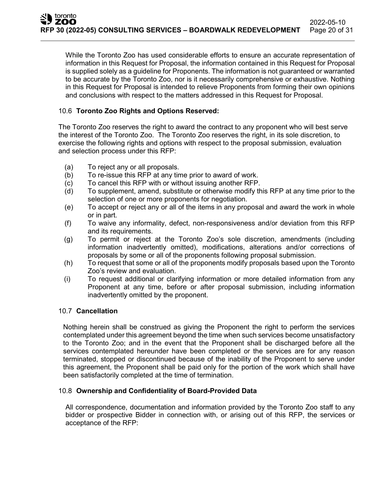While the Toronto Zoo has used considerable efforts to ensure an accurate representation of information in this Request for Proposal, the information contained in this Request for Proposal is supplied solely as a guideline for Proponents. The information is not guaranteed or warranted to be accurate by the Toronto Zoo, nor is it necessarily comprehensive or exhaustive. Nothing in this Request for Proposal is intended to relieve Proponents from forming their own opinions and conclusions with respect to the matters addressed in this Request for Proposal.

# 10.6 **Toronto Zoo Rights and Options Reserved:**

The Toronto Zoo reserves the right to award the contract to any proponent who will best serve the interest of the Toronto Zoo. The Toronto Zoo reserves the right, in its sole discretion, to exercise the following rights and options with respect to the proposal submission, evaluation and selection process under this RFP:

- (a) To reject any or all proposals.
- (b) To re-issue this RFP at any time prior to award of work.
- (c) To cancel this RFP with or without issuing another RFP.
- (d) To supplement, amend, substitute or otherwise modify this RFP at any time prior to the selection of one or more proponents for negotiation.
- (e) To accept or reject any or all of the items in any proposal and award the work in whole or in part.
- (f) To waive any informality, defect, non-responsiveness and/or deviation from this RFP and its requirements.
- (g) To permit or reject at the Toronto Zoo's sole discretion, amendments (including information inadvertently omitted), modifications, alterations and/or corrections of proposals by some or all of the proponents following proposal submission.
- (h) To request that some or all of the proponents modify proposals based upon the Toronto Zoo's review and evaluation.
- (i) To request additional or clarifying information or more detailed information from any Proponent at any time, before or after proposal submission, including information inadvertently omitted by the proponent.

# 10.7 **Cancellation**

Nothing herein shall be construed as giving the Proponent the right to perform the services contemplated under this agreement beyond the time when such services become unsatisfactory to the Toronto Zoo; and in the event that the Proponent shall be discharged before all the services contemplated hereunder have been completed or the services are for any reason terminated, stopped or discontinued because of the inability of the Proponent to serve under this agreement, the Proponent shall be paid only for the portion of the work which shall have been satisfactorily completed at the time of termination.

# 10.8 **Ownership and Confidentiality of Board-Provided Data**

All correspondence, documentation and information provided by the Toronto Zoo staff to any bidder or prospective Bidder in connection with, or arising out of this RFP, the services or acceptance of the RFP: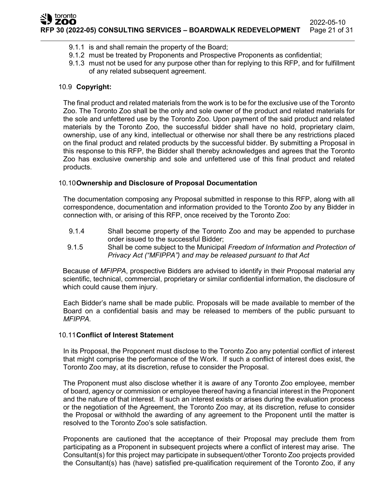- 9.1.1 is and shall remain the property of the Board;
- 9.1.2 must be treated by Proponents and Prospective Proponents as confidential;
- 9.1.3 must not be used for any purpose other than for replying to this RFP, and for fulfillment of any related subsequent agreement.

# 10.9 **Copyright:**

The final product and related materials from the work is to be for the exclusive use of the Toronto Zoo. The Toronto Zoo shall be the only and sole owner of the product and related materials for the sole and unfettered use by the Toronto Zoo. Upon payment of the said product and related materials by the Toronto Zoo, the successful bidder shall have no hold, proprietary claim, ownership, use of any kind, intellectual or otherwise nor shall there be any restrictions placed on the final product and related products by the successful bidder. By submitting a Proposal in this response to this RFP, the Bidder shall thereby acknowledges and agrees that the Toronto Zoo has exclusive ownership and sole and unfettered use of this final product and related products.

## 10.10**Ownership and Disclosure of Proposal Documentation**

The documentation composing any Proposal submitted in response to this RFP, along with all correspondence, documentation and information provided to the Toronto Zoo by any Bidder in connection with, or arising of this RFP, once received by the Toronto Zoo:

- 9.1.4 Shall become property of the Toronto Zoo and may be appended to purchase order issued to the successful Bidder;
- 9.1.5 Shall be come subject to the Municipal *Freedom of Information and Protection of Privacy Act ("MFIPPA") and may be released pursuant to that Act*

Because of *MFIPPA*, prospective Bidders are advised to identify in their Proposal material any scientific, technical, commercial, proprietary or similar confidential information, the disclosure of which could cause them injury.

Each Bidder's name shall be made public. Proposals will be made available to member of the Board on a confidential basis and may be released to members of the public pursuant to *MFIPPA.*

#### 10.11**Conflict of Interest Statement**

In its Proposal, the Proponent must disclose to the Toronto Zoo any potential conflict of interest that might comprise the performance of the Work. If such a conflict of interest does exist, the Toronto Zoo may, at its discretion, refuse to consider the Proposal.

The Proponent must also disclose whether it is aware of any Toronto Zoo employee, member of board, agency or commission or employee thereof having a financial interest in the Proponent and the nature of that interest. If such an interest exists or arises during the evaluation process or the negotiation of the Agreement, the Toronto Zoo may, at its discretion, refuse to consider the Proposal or withhold the awarding of any agreement to the Proponent until the matter is resolved to the Toronto Zoo's sole satisfaction.

Proponents are cautioned that the acceptance of their Proposal may preclude them from participating as a Proponent in subsequent projects where a conflict of interest may arise. The Consultant(s) for this project may participate in subsequent/other Toronto Zoo projects provided the Consultant(s) has (have) satisfied pre-qualification requirement of the Toronto Zoo, if any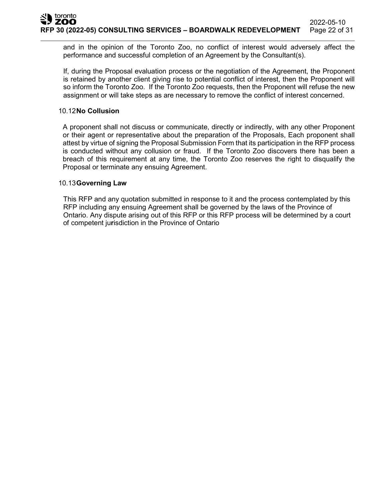and in the opinion of the Toronto Zoo, no conflict of interest would adversely affect the performance and successful completion of an Agreement by the Consultant(s).

If, during the Proposal evaluation process or the negotiation of the Agreement, the Proponent is retained by another client giving rise to potential conflict of interest, then the Proponent will so inform the Toronto Zoo. If the Toronto Zoo requests, then the Proponent will refuse the new assignment or will take steps as are necessary to remove the conflict of interest concerned.

## 10.12**No Collusion**

A proponent shall not discuss or communicate, directly or indirectly, with any other Proponent or their agent or representative about the preparation of the Proposals, Each proponent shall attest by virtue of signing the Proposal Submission Form that its participation in the RFP process is conducted without any collusion or fraud. If the Toronto Zoo discovers there has been a breach of this requirement at any time, the Toronto Zoo reserves the right to disqualify the Proposal or terminate any ensuing Agreement.

## 10.13**Governing Law**

This RFP and any quotation submitted in response to it and the process contemplated by this RFP including any ensuing Agreement shall be governed by the laws of the Province of Ontario. Any dispute arising out of this RFP or this RFP process will be determined by a court of competent ju**r**isdiction in the Province of Ontario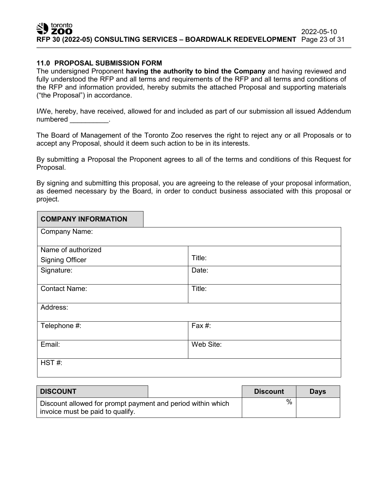# **11.0 PROPOSAL SUBMISSION FORM**

The undersigned Proponent **having the authority to bind the Company** and having reviewed and fully understood the RFP and all terms and requirements of the RFP and all terms and conditions of the RFP and information provided, hereby submits the attached Proposal and supporting materials ("the Proposal") in accordance.

I/We, hereby, have received, allowed for and included as part of our submission all issued Addendum numbered in the set of the set of the set of the set of the set of the set of the set of the set of the set of the set of the set of the set of the set of the set of the set of the set of the set of the set of the set of t

The Board of Management of the Toronto Zoo reserves the right to reject any or all Proposals or to accept any Proposal, should it deem such action to be in its interests.

By submitting a Proposal the Proponent agrees to all of the terms and conditions of this Request for Proposal.

By signing and submitting this proposal, you are agreeing to the release of your proposal information, as deemed necessary by the Board, in order to conduct business associated with this proposal or project.

| <b>COMPANY INFORMATION</b> |                      |
|----------------------------|----------------------|
| Company Name:              |                      |
| Name of authorized         |                      |
| <b>Signing Officer</b>     | Title:               |
| Signature:                 | Date:                |
| <b>Contact Name:</b>       | Title:               |
| Address:                   |                      |
| Telephone #:               | $\overline{F}$ ax #: |
| Email:                     | Web Site:            |
| HST#:                      |                      |

| <b>DISCOUNT</b>                                                                                 | <b>Discount</b> | <b>Davs</b> |
|-------------------------------------------------------------------------------------------------|-----------------|-------------|
| Discount allowed for prompt payment and period within which<br>invoice must be paid to qualify. | %               |             |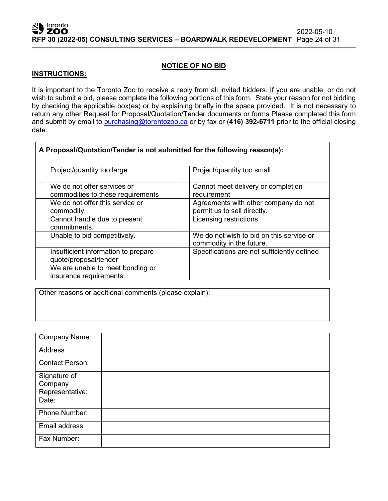## **NOTICE OF NO BID**

#### **INSTRUCTIONS:**

It is important to the Toronto Zoo to receive a reply from all invited bidders. If you are unable, or do not wish to submit a bid, please complete the following portions of this form. State your reason for not bidding by checking the applicable box(es) or by explaining briefly in the space provided. It is not necessary to return any other Request for Proposal/Quotation/Tender documents or forms Please completed this form and submit by email to [purchasing@torontozoo.ca](mailto:purchasing@torontozoo.ca) or by fax or (**416) 392-6711** prior to the official closing date.

| A Proposal/Quotation/Tender is not submitted for the following reason(s): |                                                                      |  |  |  |  |  |
|---------------------------------------------------------------------------|----------------------------------------------------------------------|--|--|--|--|--|
| Project/quantity too large.                                               | Project/quantity too small.                                          |  |  |  |  |  |
| We do not offer services or<br>commodities to these requirements          | Cannot meet delivery or completion<br>requirement                    |  |  |  |  |  |
| We do not offer this service or<br>commodity.                             | Agreements with other company do not<br>permit us to sell directly.  |  |  |  |  |  |
| Cannot handle due to present<br>commitments.                              | Licensing restrictions                                               |  |  |  |  |  |
| Unable to bid competitively.                                              | We do not wish to bid on this service or<br>commodity in the future. |  |  |  |  |  |
| Insufficient information to prepare<br>quote/proposal/tender              | Specifications are not sufficiently defined                          |  |  |  |  |  |
| We are unable to meet bonding or<br>insurance requirements.               |                                                                      |  |  |  |  |  |

Other reasons or additional comments (please explain):

| <b>Company Name:</b>   |  |
|------------------------|--|
| Address                |  |
| <b>Contact Person:</b> |  |
| Signature of           |  |
| Company                |  |
| Representative:        |  |
| Date:                  |  |
| Phone Number:          |  |
| Email address          |  |
| Fax Number:            |  |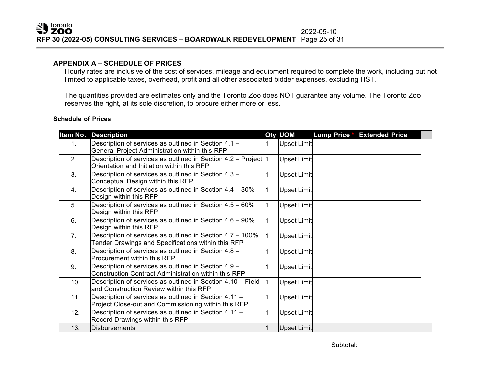#### **APPENDIX A – SCHEDULE OF PRICES**

Hourly rates are inclusive of the cost of services, mileage and equipment required to complete the work, including but not limited to applicable taxes, overhead, profit and all other associated bidder expenses, excluding HST.

The quantities provided are estimates only and the Toronto Zoo does NOT guarantee any volume. The Toronto Zoo reserves the right, at its sole discretion, to procure either more or less.

#### **Schedule of Prices**

| Item No.       | <b>Description</b>                                                                                               |              | Qty UOM            | <b>Lump Price *</b> | <b>Extended Price</b> |  |
|----------------|------------------------------------------------------------------------------------------------------------------|--------------|--------------------|---------------------|-----------------------|--|
| 1.             | Description of services as outlined in Section 4.1 -<br>General Project Administration within this RFP           |              | <b>Upset Limit</b> |                     |                       |  |
| 2.             | Description of services as outlined in Section 4.2 – Project $ 1 $<br>Orientation and Initiation within this RFP |              | <b>Upset Limit</b> |                     |                       |  |
| 3.             | Description of services as outlined in Section 4.3 -<br>Conceptual Design within this RFP                        |              | <b>Upset Limit</b> |                     |                       |  |
| 4.             | Description of services as outlined in Section 4.4 - 30%<br>Design within this RFP                               | $\mathbf 1$  | <b>Upset Limit</b> |                     |                       |  |
| 5.             | Description of services as outlined in Section 4.5 - 60%<br>Design within this RFP                               | $\mathbf{1}$ | <b>Upset Limit</b> |                     |                       |  |
| 6.             | Description of services as outlined in Section 4.6 - 90%<br>Design within this RFP                               | $\mathbf{1}$ | <b>Upset Limit</b> |                     |                       |  |
| 7 <sub>1</sub> | Description of services as outlined in Section 4.7 - 100%<br>Tender Drawings and Specifications within this RFP  | $\mathbf{1}$ | <b>Upset Limit</b> |                     |                       |  |
| 8.             | Description of services as outlined in Section 4.8 -<br>Procurement within this RFP                              |              | Upset Limit        |                     |                       |  |
| 9.             | Description of services as outlined in Section 4.9 -<br>Construction Contract Administration within this RFP     | 1            | <b>Upset Limit</b> |                     |                       |  |
| 10.            | Description of services as outlined in Section 4.10 - Field<br>and Construction Review within this RFP           | $\mathbf{1}$ | <b>Upset Limit</b> |                     |                       |  |
| 11.            | Description of services as outlined in Section 4.11 -<br>Project Close-out and Commissioning within this RFP     |              | <b>Upset Limit</b> |                     |                       |  |
| 12.            | Description of services as outlined in Section 4.11 -<br>Record Drawings within this RFP                         |              | Upset Limit        |                     |                       |  |
| 13.            | <b>Disbursements</b>                                                                                             | $\mathbf{1}$ | <b>Upset Limit</b> |                     |                       |  |
|                |                                                                                                                  |              |                    | Subtotal:           |                       |  |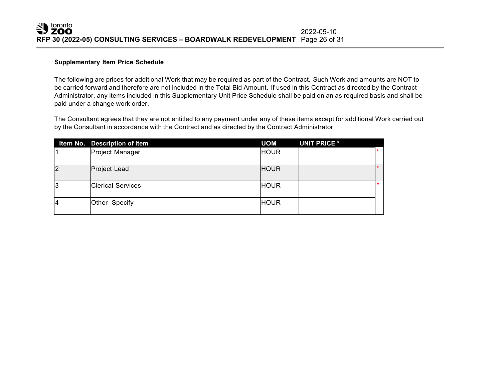#### **Supplementary Item Price Schedule**

The following are prices for additional Work that may be required as part of the Contract. Such Work and amounts are NOT to be carried forward and therefore are not included in the Total Bid Amount. If used in this Contract as directed by the Contract Administrator, any items included in this Supplementary Unit Price Schedule shall be paid on an as required basis and shall be paid under a change work order.

The Consultant agrees that they are not entitled to any payment under any of these items except for additional Work carried out by the Consultant in accordance with the Contract and as directed by the Contract Administrator.

|                | Item No. Description of item | <b>UOM</b>  | <b>UNIT PRICE *</b> |         |
|----------------|------------------------------|-------------|---------------------|---------|
|                | Project Manager              | <b>HOUR</b> |                     |         |
| $\overline{2}$ | <b>Project Lead</b>          | <b>HOUR</b> |                     |         |
| 3              | <b>IClerical Services</b>    | <b>HOUR</b> |                     | $\star$ |
| $\overline{4}$ | Other- Specify               | <b>HOUR</b> |                     |         |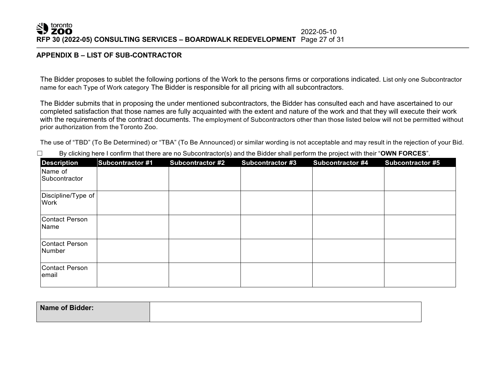#### SID toronto 2022-05-10 **RFP 30 (2022-05) CONSULTING SERVICES – BOARDWALK REDEVELOPMENT** Page 27 of 31

#### **APPENDIX B – LIST OF SUB-CONTRACTOR**

The Bidder proposes to sublet the following portions of the Work to the persons firms or corporations indicated. List only one Subcontractor name for each Type of Work category The Bidder is responsible for all pricing with all subcontractors.

The Bidder submits that in proposing the under mentioned subcontractors, the Bidder has consulted each and have ascertained to our completed satisfaction that those names are fully acquainted with the extent and nature of the work and that they will execute their work with the requirements of the contract documents. The employment of Subcontractors other than those listed below will not be permitted without prior authorization from theToronto Zoo.

The use of "TBD" (To Be Determined) or "TBA" (To Be Announced) or similar wording is not acceptable and may result in the rejection of your Bid.

| <b>Description</b>                | <b>Subcontractor #1</b> | Subcontractor #2 | <b>Subcontractor #3</b> | <b>Subcontractor #4</b> | <b>Subcontractor #5</b> |
|-----------------------------------|-------------------------|------------------|-------------------------|-------------------------|-------------------------|
| Name of<br>Subcontractor          |                         |                  |                         |                         |                         |
| Discipline/Type of<br><b>Work</b> |                         |                  |                         |                         |                         |
| Contact Person<br>Name            |                         |                  |                         |                         |                         |
| Contact Person<br>Number          |                         |                  |                         |                         |                         |
| Contact Person<br>lemail          |                         |                  |                         |                         |                         |

☐ By clicking here I confirm that there are no Subcontractor(s) and the Bidder shall perform the project with their "**OWN FORCES**".

| Name of Bidder: |  |
|-----------------|--|
|                 |  |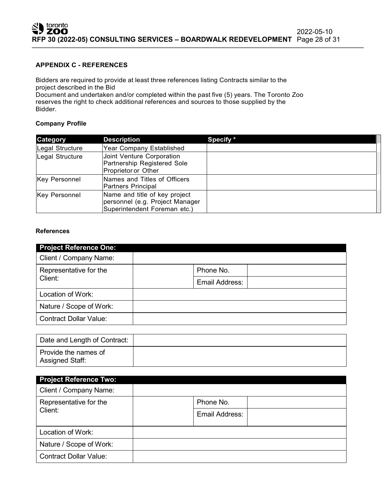#### **APPENDIX C - REFERENCES**

Bidders are required to provide at least three references listing Contracts similar to the project described in the Bid

Document and undertaken and/or completed within the past five (5) years. The Toronto Zoo reserves the right to check additional references and sources to those supplied by the Bidder.

## **Company Profile**

| Category             | <b>Description</b>                                                                               | Specify * |
|----------------------|--------------------------------------------------------------------------------------------------|-----------|
| Legal Structure      | Year Company Established                                                                         |           |
| Legal Structure      | Joint Venture Corporation<br>Partnership Registered Sole<br>Proprietor or Other                  |           |
| <b>Key Personnel</b> | Names and Titles of Officers<br>Partners Principal                                               |           |
| <b>Key Personnel</b> | Name and title of key project<br>personnel (e.g. Project Manager<br>Superintendent Foreman etc.) |           |

#### **References**

| <b>Project Reference One:</b>     |                |  |
|-----------------------------------|----------------|--|
| Client / Company Name:            |                |  |
| Representative for the<br>Client: | Phone No.      |  |
|                                   | Email Address: |  |
| Location of Work:                 |                |  |
| Nature / Scope of Work:           |                |  |
| <b>Contract Dollar Value:</b>     |                |  |

| Date and Length of Contract:            |  |
|-----------------------------------------|--|
| Provide the names of<br>Assigned Staff: |  |

| <b>Project Reference Two:</b>     |                |  |
|-----------------------------------|----------------|--|
| Client / Company Name:            |                |  |
| Representative for the<br>Client: | Phone No.      |  |
|                                   | Email Address: |  |
| Location of Work:                 |                |  |
| Nature / Scope of Work:           |                |  |
| <b>Contract Dollar Value:</b>     |                |  |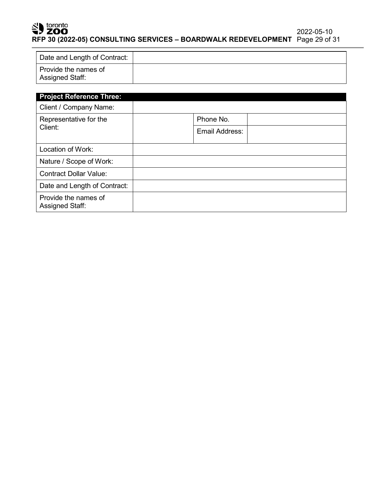# SD toronto

Assigned Staff:

| -------                      | RFP 30 (2022-05) CONSULTING SERVICES - BOARDWALK REDEVELOPMENT Page 29 of 31 |  |
|------------------------------|------------------------------------------------------------------------------|--|
| Date and Length of Contract: |                                                                              |  |

| Provide the names of<br><b>Assigned Staff:</b>            |                |
|-----------------------------------------------------------|----------------|
| <b>Project Reference Three:</b><br>Client / Company Name: |                |
| Representative for the                                    | Phone No.      |
| Client:                                                   | Email Address: |
| Location of Work:                                         |                |
| Nature / Scope of Work:                                   |                |
| <b>Contract Dollar Value:</b>                             |                |
| Date and Length of Contract:                              |                |
| Provide the names of                                      |                |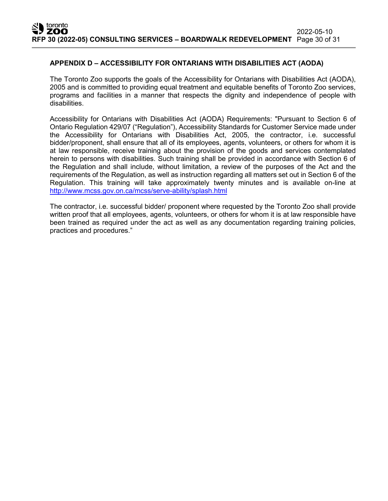# **APPENDIX D – ACCESSIBILITY FOR ONTARIANS WITH DISABILITIES ACT (AODA)**

The Toronto Zoo supports the goals of the Accessibility for Ontarians with Disabilities Act (AODA), 2005 and is committed to providing equal treatment and equitable benefits of Toronto Zoo services, programs and facilities in a manner that respects the dignity and independence of people with disabilities.

Accessibility for Ontarians with Disabilities Act (AODA) Requirements: "Pursuant to Section 6 of Ontario Regulation 429/07 ("Regulation"), Accessibility Standards for Customer Service made under the Accessibility for Ontarians with Disabilities Act, 2005, the contractor, i.e. successful bidder/proponent, shall ensure that all of its employees, agents, volunteers, or others for whom it is at law responsible, receive training about the provision of the goods and services contemplated herein to persons with disabilities. Such training shall be provided in accordance with Section 6 of the Regulation and shall include, without limitation, a review of the purposes of the Act and the requirements of the Regulation, as well as instruction regarding all matters set out in Section 6 of the Regulation. This training will take approximately twenty minutes and is available on-line at <http://www.mcss.gov.on.ca/mcss/serve-ability/splash.html>

The contractor, i.e. successful bidder/ proponent where requested by the Toronto Zoo shall provide written proof that all employees, agents, volunteers, or others for whom it is at law responsible have been trained as required under the act as well as any documentation regarding training policies, practices and procedures."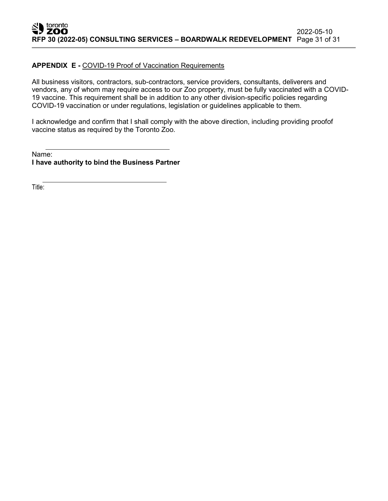## **APPENDIX E -** COVID-19 Proof of Vaccination Requirements

All business visitors, contractors, sub-contractors, service providers, consultants, deliverers and vendors, any of whom may require access to our Zoo property, must be fully vaccinated with a COVID-19 vaccine. This requirement shall be in addition to any other division-specific policies regarding COVID-19 vaccination or under regulations, legislation or guidelines applicable to them.

I acknowledge and confirm that I shall comply with the above direction, including providing proofof vaccine status as required by the Toronto Zoo.

Name: **I have authority to bind the Business Partner**

Title: